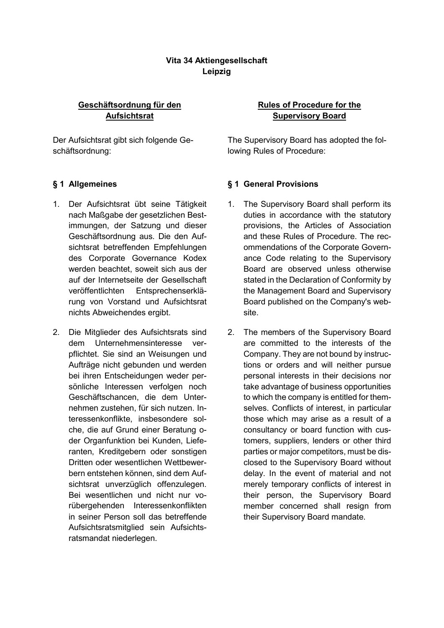# **Vita 34 Aktiengesellschaft Leipzig**

## **Geschäftsordnung für den Aufsichtsrat**

Der Aufsichtsrat gibt sich folgende Geschäftsordnung:

- 1. Der Aufsichtsrat übt seine Tätigkeit nach Maßgabe der gesetzlichen Bestimmungen, der Satzung und dieser Geschäftsordnung aus. Die den Aufsichtsrat betreffenden Empfehlungen des Corporate Governance Kodex werden beachtet, soweit sich aus der auf der Internetseite der Gesellschaft veröffentlichten Entsprechenserklärung von Vorstand und Aufsichtsrat nichts Abweichendes ergibt.
- 2. Die Mitglieder des Aufsichtsrats sind dem Unternehmensinteresse verpflichtet. Sie sind an Weisungen und Aufträge nicht gebunden und werden bei ihren Entscheidungen weder persönliche Interessen verfolgen noch Geschäftschancen, die dem Unternehmen zustehen, für sich nutzen. Interessenkonflikte, insbesondere solche, die auf Grund einer Beratung oder Organfunktion bei Kunden, Lieferanten, Kreditgebern oder sonstigen Dritten oder wesentlichen Wettbewerbern entstehen können, sind dem Aufsichtsrat unverzüglich offenzulegen. Bei wesentlichen und nicht nur vorübergehenden Interessenkonflikten in seiner Person soll das betreffende Aufsichtsratsmitglied sein Aufsichtsratsmandat niederlegen.

# **Rules of Procedure for the Supervisory Board**

The Supervisory Board has adopted the following Rules of Procedure:

## **§ 1 Allgemeines § 1 General Provisions**

- 1. The Supervisory Board shall perform its duties in accordance with the statutory provisions, the Articles of Association and these Rules of Procedure. The recommendations of the Corporate Governance Code relating to the Supervisory Board are observed unless otherwise stated in the Declaration of Conformity by the Management Board and Supervisory Board published on the Company's website.
- 2. The members of the Supervisory Board are committed to the interests of the Company. They are not bound by instructions or orders and will neither pursue personal interests in their decisions nor take advantage of business opportunities to which the company is entitled for themselves. Conflicts of interest, in particular those which may arise as a result of a consultancy or board function with customers, suppliers, lenders or other third parties or major competitors, must be disclosed to the Supervisory Board without delay. In the event of material and not merely temporary conflicts of interest in their person, the Supervisory Board member concerned shall resign from their Supervisory Board mandate.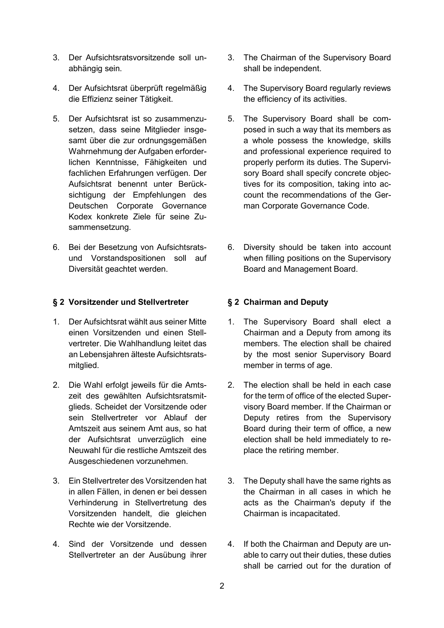- 3. Der Aufsichtsratsvorsitzende soll unabhängig sein.
- 4. Der Aufsichtsrat überprüft regelmäßig die Effizienz seiner Tätigkeit.
- 5. Der Aufsichtsrat ist so zusammenzusetzen, dass seine Mitglieder insgesamt über die zur ordnungsgemäßen Wahrnehmung der Aufgaben erforderlichen Kenntnisse, Fähigkeiten und fachlichen Erfahrungen verfügen. Der Aufsichtsrat benennt unter Berücksichtigung der Empfehlungen des Deutschen Corporate Governance Kodex konkrete Ziele für seine Zusammensetzung.
- 6. Bei der Besetzung von Aufsichtsratsund Vorstandspositionen soll auf Diversität geachtet werden.

### **§ 2 Vorsitzender und Stellvertreter § 2 Chairman and Deputy**

- 1. Der Aufsichtsrat wählt aus seiner Mitte einen Vorsitzenden und einen Stellvertreter. Die Wahlhandlung leitet das an Lebensjahren älteste Aufsichtsratsmitglied.
- 2. Die Wahl erfolgt jeweils für die Amtszeit des gewählten Aufsichtsratsmitglieds. Scheidet der Vorsitzende oder sein Stellvertreter vor Ablauf der Amtszeit aus seinem Amt aus, so hat der Aufsichtsrat unverzüglich eine Neuwahl für die restliche Amtszeit des Ausgeschiedenen vorzunehmen.
- 3. Ein Stellvertreter des Vorsitzenden hat in allen Fällen, in denen er bei dessen Verhinderung in Stellvertretung des Vorsitzenden handelt, die gleichen Rechte wie der Vorsitzende.
- 4. Sind der Vorsitzende und dessen Stellvertreter an der Ausübung ihrer
- 3. The Chairman of the Supervisory Board shall be independent.
- 4. The Supervisory Board regularly reviews the efficiency of its activities.
- 5. The Supervisory Board shall be composed in such a way that its members as a whole possess the knowledge, skills and professional experience required to properly perform its duties. The Supervisory Board shall specify concrete objectives for its composition, taking into account the recommendations of the German Corporate Governance Code.
- 6. Diversity should be taken into account when filling positions on the Supervisory Board and Management Board.

- 1. The Supervisory Board shall elect a Chairman and a Deputy from among its members. The election shall be chaired by the most senior Supervisory Board member in terms of age.
- 2. The election shall be held in each case for the term of office of the elected Supervisory Board member. If the Chairman or Deputy retires from the Supervisory Board during their term of office, a new election shall be held immediately to replace the retiring member.
- 3. The Deputy shall have the same rights as the Chairman in all cases in which he acts as the Chairman's deputy if the Chairman is incapacitated.
- 4. If both the Chairman and Deputy are unable to carry out their duties, these duties shall be carried out for the duration of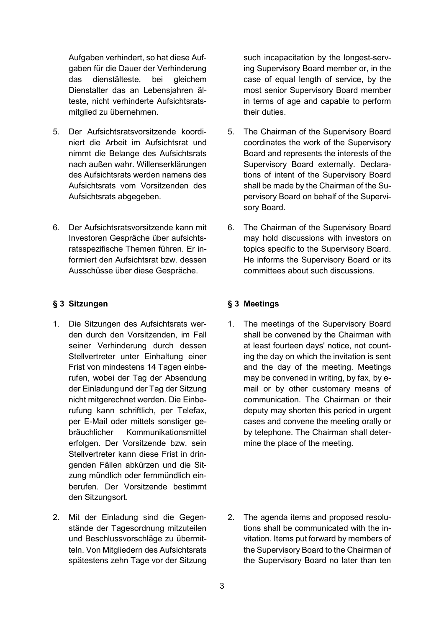Aufgaben verhindert, so hat diese Aufgaben für die Dauer der Verhinderung das dienstälteste, bei gleichem Dienstalter das an Lebensjahren älteste, nicht verhinderte Aufsichtsratsmitglied zu übernehmen.

- 5. Der Aufsichtsratsvorsitzende koordiniert die Arbeit im Aufsichtsrat und nimmt die Belange des Aufsichtsrats nach außen wahr. Willenserklärungen des Aufsichtsrats werden namens des Aufsichtsrats vom Vorsitzenden des Aufsichtsrats abgegeben.
- 6. Der Aufsichtsratsvorsitzende kann mit Investoren Gespräche über aufsichtsratsspezifische Themen führen. Er informiert den Aufsichtsrat bzw. dessen Ausschüsse über diese Gespräche.

### <span id="page-2-0"></span>**§ 3 Sitzungen § 3 Meetings**

- 1. Die Sitzungen des Aufsichtsrats werden durch den Vorsitzenden, im Fall seiner Verhinderung durch dessen Stellvertreter unter Einhaltung einer Frist von mindestens 14 Tagen einberufen, wobei der Tag der Absendung der Einladungund der Tag der Sitzung nicht mitgerechnet werden. Die Einberufung kann schriftlich, per Telefax, per E-Mail oder mittels sonstiger gebräuchlicher Kommunikationsmittel erfolgen. Der Vorsitzende bzw. sein Stellvertreter kann diese Frist in dringenden Fällen abkürzen und die Sitzung mündlich oder fernmündlich einberufen. Der Vorsitzende bestimmt den Sitzungsort.
- 2. Mit der Einladung sind die Gegenstände der Tagesordnung mitzuteilen und Beschlussvorschläge zu übermitteln. Von Mitgliedern des Aufsichtsrats spätestens zehn Tage vor der Sitzung

such incapacitation by the longest-serving Supervisory Board member or, in the case of equal length of service, by the most senior Supervisory Board member in terms of age and capable to perform their duties.

- 5. The Chairman of the Supervisory Board coordinates the work of the Supervisory Board and represents the interests of the Supervisory Board externally. Declarations of intent of the Supervisory Board shall be made by the Chairman of the Supervisory Board on behalf of the Supervisory Board.
- 6. The Chairman of the Supervisory Board may hold discussions with investors on topics specific to the Supervisory Board. He informs the Supervisory Board or its committees about such discussions.

<span id="page-2-1"></span>1. The meetings of the Supervisory Board shall be convened by the Chairman with at least fourteen days' notice, not counting the day on which the invitation is sent and the day of the meeting. Meetings may be convened in writing, by fax, by email or by other customary means of communication. The Chairman or their deputy may shorten this period in urgent cases and convene the meeting orally or by telephone. The Chairman shall determine the place of the meeting.

2. The agenda items and proposed resolutions shall be communicated with the invitation. Items put forward by members of the Supervisory Board to the Chairman of the Supervisory Board no later than ten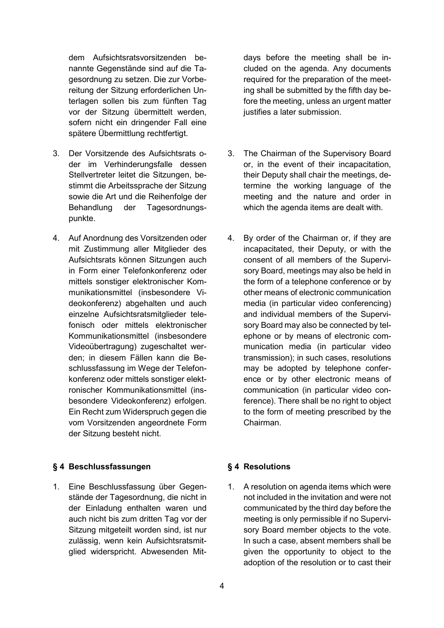dem Aufsichtsratsvorsitzenden benannte Gegenstände sind auf die Tagesordnung zu setzen. Die zur Vorbereitung der Sitzung erforderlichen Unterlagen sollen bis zum fünften Tag vor der Sitzung übermittelt werden, sofern nicht ein dringender Fall eine spätere Übermittlung rechtfertigt.

- 3. Der Vorsitzende des Aufsichtsrats oder im Verhinderungsfalle dessen Stellvertreter leitet die Sitzungen, bestimmt die Arbeitssprache der Sitzung sowie die Art und die Reihenfolge der Behandlung der Tagesordnungspunkte.
- 4. Auf Anordnung des Vorsitzenden oder mit Zustimmung aller Mitglieder des Aufsichtsrats können Sitzungen auch in Form einer Telefonkonferenz oder mittels sonstiger elektronischer Kommunikationsmittel (insbesondere Videokonferenz) abgehalten und auch einzelne Aufsichtsratsmitglieder telefonisch oder mittels elektronischer Kommunikationsmittel (insbesondere Videoübertragung) zugeschaltet werden; in diesem Fällen kann die Beschlussfassung im Wege der Telefonkonferenz oder mittels sonstiger elektronischer Kommunikationsmittel (insbesondere Videokonferenz) erfolgen. Ein Recht zum Widerspruch gegen die vom Vorsitzenden angeordnete Form der Sitzung besteht nicht.

# <span id="page-3-2"></span>**§ 4 Beschlussfassungen § 4 Resolutions**

<span id="page-3-0"></span>1. Eine Beschlussfassung über Gegenstände der Tagesordnung, die nicht in der Einladung enthalten waren und auch nicht bis zum dritten Tag vor der Sitzung mitgeteilt worden sind, ist nur zulässig, wenn kein Aufsichtsratsmitglied widerspricht. Abwesenden Mit-

days before the meeting shall be included on the agenda. Any documents required for the preparation of the meeting shall be submitted by the fifth day before the meeting, unless an urgent matter justifies a later submission.

- 3. The Chairman of the Supervisory Board or, in the event of their incapacitation, their Deputy shall chair the meetings, determine the working language of the meeting and the nature and order in which the agenda items are dealt with.
- 4. By order of the Chairman or, if they are incapacitated, their Deputy, or with the consent of all members of the Supervisory Board, meetings may also be held in the form of a telephone conference or by other means of electronic communication media (in particular video conferencing) and individual members of the Supervisory Board may also be connected by telephone or by means of electronic communication media (in particular video transmission); in such cases, resolutions may be adopted by telephone conference or by other electronic means of communication (in particular video conference). There shall be no right to object to the form of meeting prescribed by the Chairman.

<span id="page-3-3"></span><span id="page-3-1"></span>1. A resolution on agenda items which were not included in the invitation and were not communicated by the third day before the meeting is only permissible if no Supervisory Board member objects to the vote. In such a case, absent members shall be given the opportunity to object to the adoption of the resolution or to cast their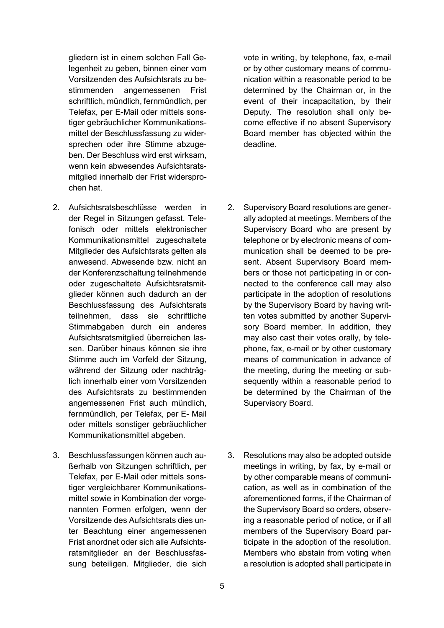gliedern ist in einem solchen Fall Gelegenheit zu geben, binnen einer vom Vorsitzenden des Aufsichtsrats zu bestimmenden angemessenen Frist schriftlich, mündlich, fernmündlich, per Telefax, per E-Mail oder mittels sonstiger gebräuchlicher Kommunikationsmittel der Beschlussfassung zu widersprechen oder ihre Stimme abzugeben. Der Beschluss wird erst wirksam, wenn kein abwesendes Aufsichtsratsmitglied innerhalb der Frist widersprochen hat.

- 2. Aufsichtsratsbeschlüsse werden in der Regel in Sitzungen gefasst. Telefonisch oder mittels elektronischer Kommunikationsmittel zugeschaltete Mitglieder des Aufsichtsrats gelten als anwesend. Abwesende bzw. nicht an der Konferenzschaltung teilnehmende oder zugeschaltete Aufsichtsratsmitglieder können auch dadurch an der Beschlussfassung des Aufsichtsrats teilnehmen, dass sie schriftliche Stimmabgaben durch ein anderes Aufsichtsratsmitglied überreichen lassen. Darüber hinaus können sie ihre Stimme auch im Vorfeld der Sitzung, während der Sitzung oder nachträglich innerhalb einer vom Vorsitzenden des Aufsichtsrats zu bestimmenden angemessenen Frist auch mündlich, fernmündlich, per Telefax, per E- Mail oder mittels sonstiger gebräuchlicher Kommunikationsmittel abgeben.
- <span id="page-4-0"></span>3. Beschlussfassungen können auch außerhalb von Sitzungen schriftlich, per Telefax, per E-Mail oder mittels sonstiger vergleichbarer Kommunikationsmittel sowie in Kombination der vorgenannten Formen erfolgen, wenn der Vorsitzende des Aufsichtsrats dies unter Beachtung einer angemessenen Frist anordnet oder sich alle Aufsichtsratsmitglieder an der Beschlussfassung beteiligen. Mitglieder, die sich

vote in writing, by telephone, fax, e-mail or by other customary means of communication within a reasonable period to be determined by the Chairman or, in the event of their incapacitation, by their Deputy. The resolution shall only become effective if no absent Supervisory Board member has objected within the deadline.

- 2. Supervisory Board resolutions are generally adopted at meetings. Members of the Supervisory Board who are present by telephone or by electronic means of communication shall be deemed to be present. Absent Supervisory Board members or those not participating in or connected to the conference call may also participate in the adoption of resolutions by the Supervisory Board by having written votes submitted by another Supervisory Board member. In addition, they may also cast their votes orally, by telephone, fax, e-mail or by other customary means of communication in advance of the meeting, during the meeting or subsequently within a reasonable period to be determined by the Chairman of the Supervisory Board.
- 3. Resolutions may also be adopted outside meetings in writing, by fax, by e-mail or by other comparable means of communication, as well as in combination of the aforementioned forms, if the Chairman of the Supervisory Board so orders, observing a reasonable period of notice, or if all members of the Supervisory Board participate in the adoption of the resolution. Members who abstain from voting when a resolution is adopted shall participate in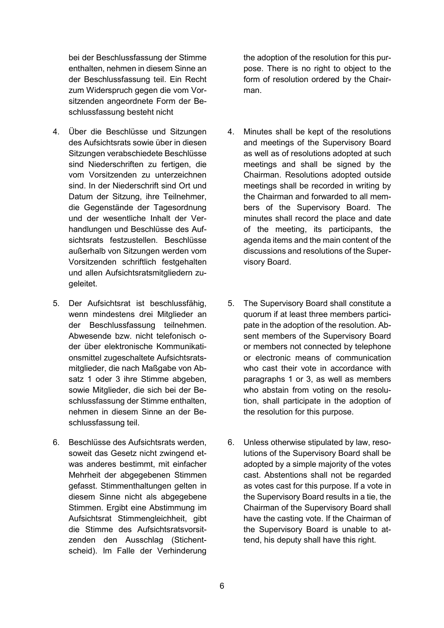bei der Beschlussfassung der Stimme enthalten, nehmen in diesem Sinne an der Beschlussfassung teil. Ein Recht zum Widerspruch gegen die vom Vorsitzenden angeordnete Form der Beschlussfassung besteht nicht

- 4. Über die Beschlüsse und Sitzungen des Aufsichtsrats sowie über in diesen Sitzungen verabschiedete Beschlüsse sind Niederschriften zu fertigen, die vom Vorsitzenden zu unterzeichnen sind. In der Niederschrift sind Ort und Datum der Sitzung, ihre Teilnehmer, die Gegenstände der Tagesordnung und der wesentliche Inhalt der Verhandlungen und Beschlüsse des Aufsichtsrats festzustellen. Beschlüsse außerhalb von Sitzungen werden vom Vorsitzenden schriftlich festgehalten und allen Aufsichtsratsmitgliedern zugeleitet.
- 5. Der Aufsichtsrat ist beschlussfähig, wenn mindestens drei Mitglieder an der Beschlussfassung teilnehmen. Abwesende bzw. nicht telefonisch oder über elektronische Kommunikationsmittel zugeschaltete Aufsichtsratsmitglieder, die nach Maßgabe von Absatz [1](#page-3-0) oder [3](#page-4-0) ihre Stimme abgeben, sowie Mitglieder, die sich bei der Beschlussfassung der Stimme enthalten, nehmen in diesem Sinne an der Beschlussfassung teil.
- 6. Beschlüsse des Aufsichtsrats werden, soweit das Gesetz nicht zwingend etwas anderes bestimmt, mit einfacher Mehrheit der abgegebenen Stimmen gefasst. Stimmenthaltungen gelten in diesem Sinne nicht als abgegebene Stimmen. Ergibt eine Abstimmung im Aufsichtsrat Stimmengleichheit, gibt die Stimme des Aufsichtsratsvorsitzenden den Ausschlag (Stichentscheid). Im Falle der Verhinderung

the adoption of the resolution for this purpose. There is no right to object to the form of resolution ordered by the Chairman.

- 4. Minutes shall be kept of the resolutions and meetings of the Supervisory Board as well as of resolutions adopted at such meetings and shall be signed by the Chairman. Resolutions adopted outside meetings shall be recorded in writing by the Chairman and forwarded to all members of the Supervisory Board. The minutes shall record the place and date of the meeting, its participants, the agenda items and the main content of the discussions and resolutions of the Supervisory Board.
- 5. The Supervisory Board shall constitute a quorum if at least three members participate in the adoption of the resolution. Absent members of the Supervisory Board or members not connected by telephone or electronic means of communication who cast their vote in accordance with paragraphs [1](#page-3-1) or [3,](#page-4-0) as well as members who abstain from voting on the resolution, shall participate in the adoption of the resolution for this purpose.
- 6. Unless otherwise stipulated by law, resolutions of the Supervisory Board shall be adopted by a simple majority of the votes cast. Abstentions shall not be regarded as votes cast for this purpose. If a vote in the Supervisory Board results in a tie, the Chairman of the Supervisory Board shall have the casting vote. If the Chairman of the Supervisory Board is unable to attend, his deputy shall have this right.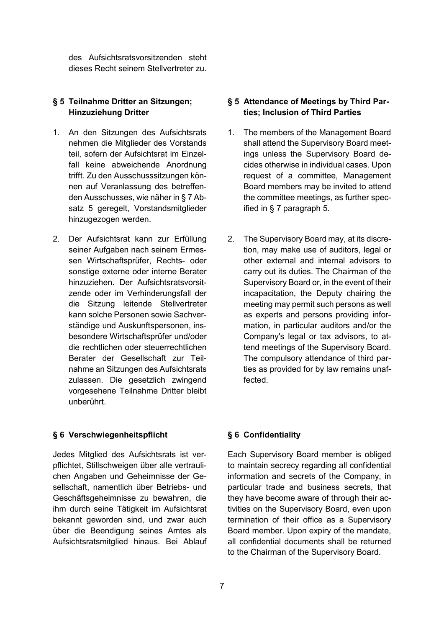des Aufsichtsratsvorsitzenden steht dieses Recht seinem Stellvertreter zu.

### **§ 5 Teilnahme Dritter an Sitzungen; Hinzuziehung Dritter**

- 1. An den Sitzungen des Aufsichtsrats nehmen die Mitglieder des Vorstands teil, sofern der Aufsichtsrat im Einzelfall keine abweichende Anordnung trifft. Zu den Ausschusssitzungen können auf Veranlassung des betreffenden Ausschusses, wie näher in [§ 7](#page-7-0) Absatz [5](#page-7-1) geregelt, Vorstandsmitglieder hinzugezogen werden.
- 2. Der Aufsichtsrat kann zur Erfüllung seiner Aufgaben nach seinem Ermessen Wirtschaftsprüfer, Rechts- oder sonstige externe oder interne Berater hinzuziehen. Der Aufsichtsratsvorsitzende oder im Verhinderungsfall der die Sitzung leitende Stellvertreter kann solche Personen sowie Sachverständige und Auskunftspersonen, insbesondere Wirtschaftsprüfer und/oder die rechtlichen oder steuerrechtlichen Berater der Gesellschaft zur Teilnahme an Sitzungen des Aufsichtsrats zulassen. Die gesetzlich zwingend vorgesehene Teilnahme Dritter bleibt unberührt.

### **§ 6 Verschwiegenheitspflicht § 6 Confidentiality**

Jedes Mitglied des Aufsichtsrats ist verpflichtet, Stillschweigen über alle vertraulichen Angaben und Geheimnisse der Gesellschaft, namentlich über Betriebs- und Geschäftsgeheimnisse zu bewahren, die ihm durch seine Tätigkeit im Aufsichtsrat bekannt geworden sind, und zwar auch über die Beendigung seines Amtes als Aufsichtsratsmitglied hinaus. Bei Ablauf

### **§ 5 Attendance of Meetings by Third Parties; Inclusion of Third Parties**

- 1. The members of the Management Board shall attend the Supervisory Board meetings unless the Supervisory Board decides otherwise in individual cases. Upon request of a committee, Management Board members may be invited to attend the committee meetings, as further specified in [§ 7](#page-7-2) paragraph [5.](#page-7-1)
- 2. The Supervisory Board may, at its discretion, may make use of auditors, legal or other external and internal advisors to carry out its duties. The Chairman of the Supervisory Board or, in the event of their incapacitation, the Deputy chairing the meeting may permit such persons as well as experts and persons providing information, in particular auditors and/or the Company's legal or tax advisors, to attend meetings of the Supervisory Board. The compulsory attendance of third parties as provided for by law remains unaffected.

Each Supervisory Board member is obliged to maintain secrecy regarding all confidential information and secrets of the Company, in particular trade and business secrets, that they have become aware of through their activities on the Supervisory Board, even upon termination of their office as a Supervisory Board member. Upon expiry of the mandate, all confidential documents shall be returned to the Chairman of the Supervisory Board.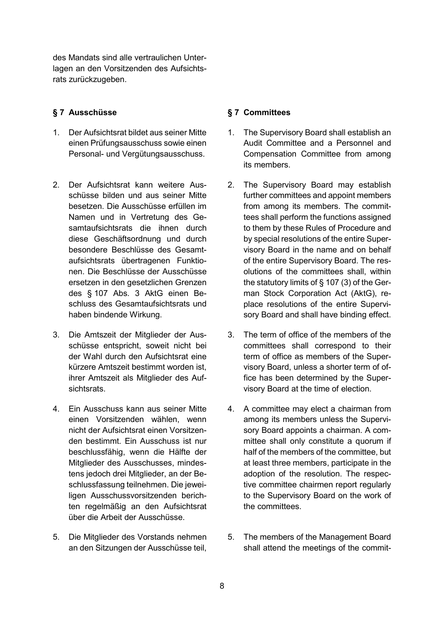des Mandats sind alle vertraulichen Unterlagen an den Vorsitzenden des Aufsichtsrats zurückzugeben.

## <span id="page-7-0"></span>**§ 7 Ausschüsse § 7 Committees**

- 1. Der Aufsichtsrat bildet aus seiner Mitte einen Prüfungsausschuss sowie einen Personal- und Vergütungsausschuss.
- 2. Der Aufsichtsrat kann weitere Ausschüsse bilden und aus seiner Mitte besetzen. Die Ausschüsse erfüllen im Namen und in Vertretung des Gesamtaufsichtsrats die ihnen durch diese Geschäftsordnung und durch besondere Beschlüsse des Gesamtaufsichtsrats übertragenen Funktionen. Die Beschlüsse der Ausschüsse ersetzen in den gesetzlichen Grenzen des § 107 Abs. 3 AktG einen Beschluss des Gesamtaufsichtsrats und haben bindende Wirkung.
- 3. Die Amtszeit der Mitglieder der Ausschüsse entspricht, soweit nicht bei der Wahl durch den Aufsichtsrat eine kürzere Amtszeit bestimmt worden ist, ihrer Amtszeit als Mitglieder des Aufsichtsrats.
- 4. Ein Ausschuss kann aus seiner Mitte einen Vorsitzenden wählen, wenn nicht der Aufsichtsrat einen Vorsitzenden bestimmt. Ein Ausschuss ist nur beschlussfähig, wenn die Hälfte der Mitglieder des Ausschusses, mindestens jedoch drei Mitglieder, an der Beschlussfassung teilnehmen. Die jeweiligen Ausschussvorsitzenden berichten regelmäßig an den Aufsichtsrat über die Arbeit der Ausschüsse.
- <span id="page-7-1"></span>5. Die Mitglieder des Vorstands nehmen an den Sitzungen der Ausschüsse teil,

- <span id="page-7-2"></span>1. The Supervisory Board shall establish an Audit Committee and a Personnel and Compensation Committee from among its members.
- 2. The Supervisory Board may establish further committees and appoint members from among its members. The committees shall perform the functions assigned to them by these Rules of Procedure and by special resolutions of the entire Supervisory Board in the name and on behalf of the entire Supervisory Board. The resolutions of the committees shall, within the statutory limits of § 107 (3) of the German Stock Corporation Act (AktG), replace resolutions of the entire Supervisory Board and shall have binding effect.
- 3. The term of office of the members of the committees shall correspond to their term of office as members of the Supervisory Board, unless a shorter term of office has been determined by the Supervisory Board at the time of election.
- 4. A committee may elect a chairman from among its members unless the Supervisory Board appoints a chairman. A committee shall only constitute a quorum if half of the members of the committee, but at least three members, participate in the adoption of the resolution. The respective committee chairmen report regularly to the Supervisory Board on the work of the committees.
- 5. The members of the Management Board shall attend the meetings of the commit-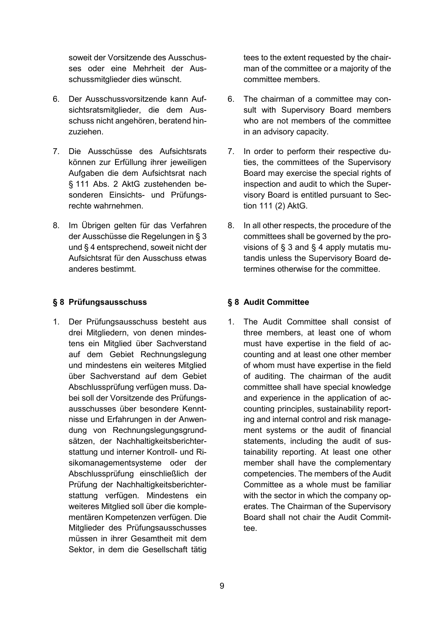soweit der Vorsitzende des Ausschusses oder eine Mehrheit der Ausschussmitglieder dies wünscht.

- 6. Der Ausschussvorsitzende kann Aufsichtsratsmitglieder, die dem Ausschuss nicht angehören, beratend hinzuziehen.
- 7. Die Ausschüsse des Aufsichtsrats können zur Erfüllung ihrer jeweiligen Aufgaben die dem Aufsichtsrat nach § 111 Abs. 2 AktG zustehenden besonderen Einsichts- und Prüfungsrechte wahrnehmen.
- 8. Im Übrigen gelten für das Verfahren der Ausschüsse die Regelungen i[n § 3](#page-2-0) und [§ 4](#page-3-2) entsprechend, soweit nicht der Aufsichtsrat für den Ausschuss etwas anderes bestimmt.

# **§ 8 Prüfungsausschuss § 8 Audit Committee**

1. Der Prüfungsausschuss besteht aus drei Mitgliedern, von denen mindestens ein Mitglied über Sachverstand auf dem Gebiet Rechnungslegung und mindestens ein weiteres Mitglied über Sachverstand auf dem Gebiet Abschlussprüfung verfügen muss. Dabei soll der Vorsitzende des Prüfungsausschusses über besondere Kenntnisse und Erfahrungen in der Anwendung von Rechnungslegungsgrundsätzen, der Nachhaltigkeitsberichterstattung und interner Kontroll- und Risikomanagementsysteme oder der Abschlussprüfung einschließlich der Prüfung der Nachhaltigkeitsberichterstattung verfügen. Mindestens ein weiteres Mitglied soll über die komplementären Kompetenzen verfügen. Die Mitglieder des Prüfungsausschusses müssen in ihrer Gesamtheit mit dem Sektor, in dem die Gesellschaft tätig

tees to the extent requested by the chairman of the committee or a majority of the committee members.

- 6. The chairman of a committee may consult with Supervisory Board members who are not members of the committee in an advisory capacity.
- 7. In order to perform their respective duties, the committees of the Supervisory Board may exercise the special rights of inspection and audit to which the Supervisory Board is entitled pursuant to Section 111 (2) AktG.
- 8. In all other respects, the procedure of the committees shall be governed by the provisions of [§ 3](#page-2-1) and [§ 4](#page-3-3) apply mutatis mutandis unless the Supervisory Board determines otherwise for the committee.

1. The Audit Committee shall consist of three members, at least one of whom must have expertise in the field of accounting and at least one other member of whom must have expertise in the field of auditing. The chairman of the audit committee shall have special knowledge and experience in the application of accounting principles, sustainability reporting and internal control and risk management systems or the audit of financial statements, including the audit of sustainability reporting. At least one other member shall have the complementary competencies. The members of the Audit Committee as a whole must be familiar with the sector in which the company operates. The Chairman of the Supervisory Board shall not chair the Audit Committee.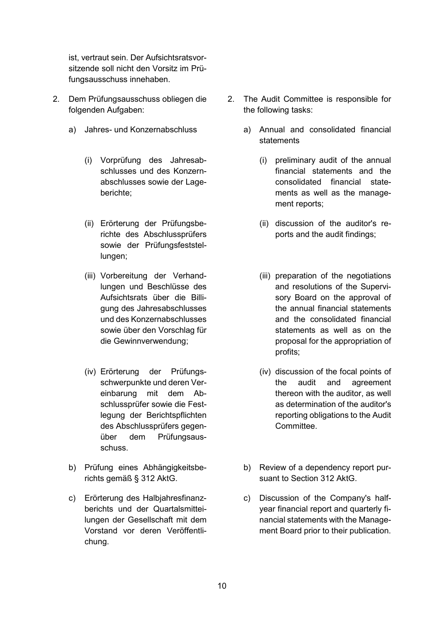ist, vertraut sein. Der Aufsichtsratsvorsitzende soll nicht den Vorsitz im Prüfungsausschuss innehaben.

- 2. Dem Prüfungsausschuss obliegen die folgenden Aufgaben:
	- - (i) Vorprüfung des Jahresabschlusses und des Konzernabschlusses sowie der Lageberichte;
		- (ii) Erörterung der Prüfungsberichte des Abschlussprüfers sowie der Prüfungsfeststellungen;
		- (iii) Vorbereitung der Verhandlungen und Beschlüsse des Aufsichtsrats über die Billigung des Jahresabschlusses und des Konzernabschlusses sowie über den Vorschlag für die Gewinnverwendung;
		- (iv) Erörterung der Prüfungsschwerpunkte und deren Vereinbarung mit dem Abschlussprüfer sowie die Festlegung der Berichtspflichten des Abschlussprüfers gegenüber dem Prüfungsausschuss.
	- b) Prüfung eines Abhängigkeitsberichts gemäß § 312 AktG.
	- c) Erörterung des Halbjahresfinanzberichts und der Quartalsmitteilungen der Gesellschaft mit dem Vorstand vor deren Veröffentlichung.
- 2. The Audit Committee is responsible for the following tasks:
- a) Jahres- und Konzernabschluss a) Annual and consolidated financial statements
	- (i) preliminary audit of the annual financial statements and the consolidated financial statements as well as the management reports;
	- (ii) discussion of the auditor's reports and the audit findings;
	- (iii) preparation of the negotiations and resolutions of the Supervisory Board on the approval of the annual financial statements and the consolidated financial statements as well as on the proposal for the appropriation of profits;
	- (iv) discussion of the focal points of the audit and agreement thereon with the auditor, as well as determination of the auditor's reporting obligations to the Audit Committee.
	- b) Review of a dependency report pursuant to Section 312 AktG.
	- c) Discussion of the Company's halfyear financial report and quarterly financial statements with the Management Board prior to their publication.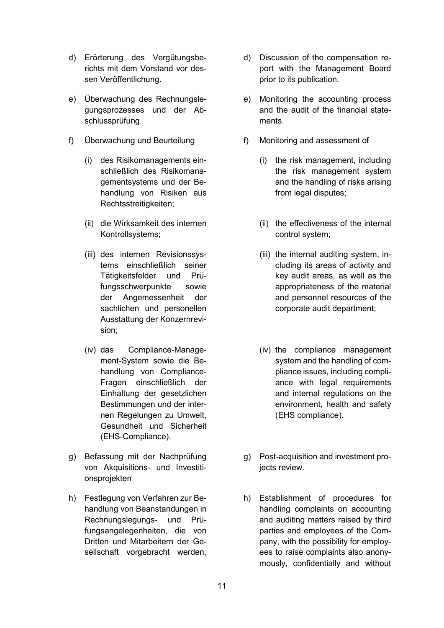- d) Erörterung des Vergütungsberichts mit dem Vorstand vor dessen Veröffentlichung.
- e) Überwachung des Rechnungslegungsprozesses und der Abschlussprüfung.
- f) Überwachung und Beurteilung f) Monitoring and assessment of
	- (i) des Risikomanagements einschließlich des Risikomanagementsystems und der Behandlung von Risiken aus Rechtsstreitigkeiten;
	- (ii) die Wirksamkeit des internen Kontrollsystems;
	- (iii) des internen Revisionssystems einschließlich seiner Tätigkeitsfelder und Prüfungsschwerpunkte sowie der Angemessenheit der sachlichen und personellen Ausstattung der Konzernrevision;
	- (iv) das Compliance-Management-System sowie die Behandlung von Compliance-Fragen einschließlich der Einhaltung der gesetzlichen Bestimmungen und der internen Regelungen zu Umwelt, Gesundheit und Sicherheit (EHS-Compliance).
- g) Befassung mit der Nachprüfung von Akquisitions- und Investitionsprojekten
- h) Festlegung von Verfahren zur Behandlung von Beanstandungen in Rechnungslegungs- und Prüfungsangelegenheiten, die von Dritten und Mitarbeitern der Gesellschaft vorgebracht werden,
- d) Discussion of the compensation report with the Management Board prior to its publication.
- e) Monitoring the accounting process and the audit of the financial statements.
- - (i) the risk management, including the risk management system and the handling of risks arising from legal disputes;
	- (ii) the effectiveness of the internal control system;
	- (iii) the internal auditing system, including its areas of activity and key audit areas, as well as the appropriateness of the material and personnel resources of the corporate audit department;
	- (iv) the compliance management system and the handling of compliance issues, including compliance with legal requirements and internal regulations on the environment, health and safety (EHS compliance).
- g) Post-acquisition and investment projects review.
- h) Establishment of procedures for handling complaints on accounting and auditing matters raised by third parties and employees of the Company, with the possibility for employees to raise complaints also anonymously, confidentially and without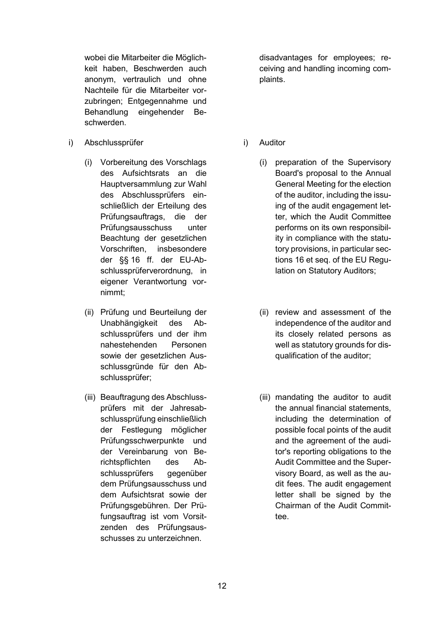wobei die Mitarbeiter die Möglichkeit haben, Beschwerden auch anonym, vertraulich und ohne Nachteile für die Mitarbeiter vorzubringen; Entgegennahme und Behandlung eingehender Beschwerden.

- i) Abschlussprüfer i) Auditor
	- (i) Vorbereitung des Vorschlags des Aufsichtsrats an die Hauptversammlung zur Wahl des Abschlussprüfers einschließlich der Erteilung des Prüfungsauftrags, die der Prüfungsausschuss unter Beachtung der gesetzlichen Vorschriften, insbesondere der §§ 16 ff. der EU-Abschlussprüferverordnung, in eigener Verantwortung vornimmt;
	- (ii) Prüfung und Beurteilung der Unabhängigkeit des Abschlussprüfers und der ihm nahestehenden Personen sowie der gesetzlichen Ausschlussgründe für den Abschlussprüfer;
	- (iii) Beauftragung des Abschlussprüfers mit der Jahresabschlussprüfung einschließlich der Festlegung möglicher Prüfungsschwerpunkte und der Vereinbarung von Berichtspflichten des Abschlussprüfers gegenüber dem Prüfungsausschuss und dem Aufsichtsrat sowie der Prüfungsgebühren. Der Prüfungsauftrag ist vom Vorsitzenden des Prüfungsausschusses zu unterzeichnen.

disadvantages for employees; receiving and handling incoming complaints.

- - (i) preparation of the Supervisory Board's proposal to the Annual General Meeting for the election of the auditor, including the issuing of the audit engagement letter, which the Audit Committee performs on its own responsibility in compliance with the statutory provisions, in particular sections 16 et seq. of the EU Regulation on Statutory Auditors;
	- (ii) review and assessment of the independence of the auditor and its closely related persons as well as statutory grounds for disqualification of the auditor;
	- (iii) mandating the auditor to audit the annual financial statements, including the determination of possible focal points of the audit and the agreement of the auditor's reporting obligations to the Audit Committee and the Supervisory Board, as well as the audit fees. The audit engagement letter shall be signed by the Chairman of the Audit Committee.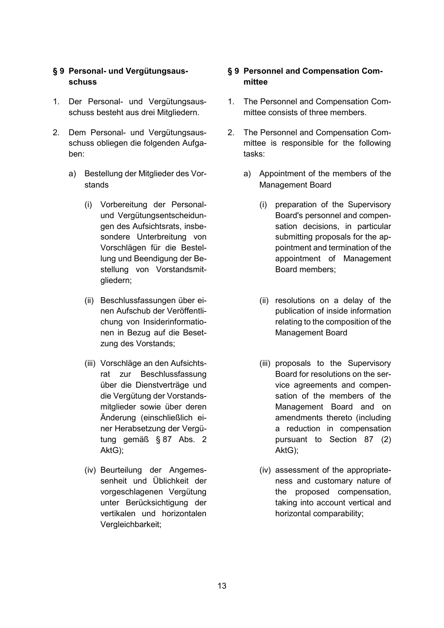## **§ 9 Personal- und Vergütungsausschuss**

- 1. Der Personal- und Vergütungsausschuss besteht aus drei Mitgliedern.
- 2. Dem Personal- und Vergütungsausschuss obliegen die folgenden Aufgaben:
	- a) Bestellung der Mitglieder des Vorstands
		- (i) Vorbereitung der Personalund Vergütungsentscheidungen des Aufsichtsrats, insbesondere Unterbreitung von Vorschlägen für die Bestellung und Beendigung der Bestellung von Vorstandsmitgliedern;
		- (ii) Beschlussfassungen über einen Aufschub der Veröffentlichung von Insiderinformationen in Bezug auf die Besetzung des Vorstands;
		- (iii) Vorschläge an den Aufsichtsrat zur Beschlussfassung über die Dienstverträge und die Vergütung der Vorstandsmitglieder sowie über deren Änderung (einschließlich einer Herabsetzung der Vergütung gemäß § 87 Abs. 2 AktG);
		- (iv) Beurteilung der Angemessenheit und Üblichkeit der vorgeschlagenen Vergütung unter Berücksichtigung der vertikalen und horizontalen Vergleichbarkeit;

# **§ 9 Personnel and Compensation Committee**

- 1. The Personnel and Compensation Committee consists of three members.
- 2. The Personnel and Compensation Committee is responsible for the following tasks:
	- a) Appointment of the members of the Management Board
		- (i) preparation of the Supervisory Board's personnel and compensation decisions, in particular submitting proposals for the appointment and termination of the appointment of Management Board members;
		- (ii) resolutions on a delay of the publication of inside information relating to the composition of the Management Board
		- (iii) proposals to the Supervisory Board for resolutions on the service agreements and compensation of the members of the Management Board and on amendments thereto (including a reduction in compensation pursuant to Section 87 (2) AktG);
		- (iv) assessment of the appropriateness and customary nature of the proposed compensation, taking into account vertical and horizontal comparability;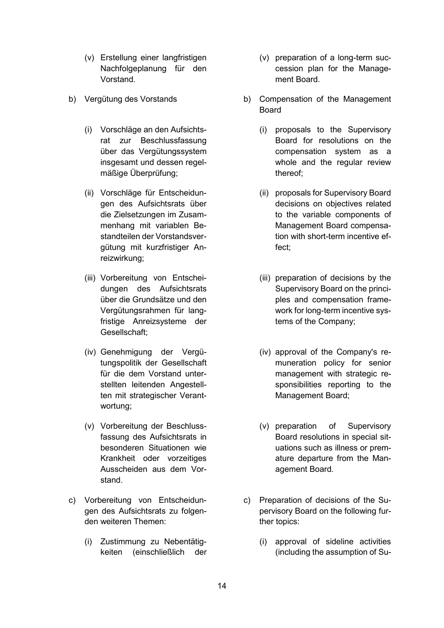- (v) Erstellung einer langfristigen Nachfolgeplanung für den Vorstand.
- - (i) Vorschläge an den Aufsichtsrat zur Beschlussfassung über das Vergütungssystem insgesamt und dessen regelmäßige Überprüfung;
	- (ii) Vorschläge für Entscheidungen des Aufsichtsrats über die Zielsetzungen im Zusammenhang mit variablen Bestandteilen der Vorstandsvergütung mit kurzfristiger Anreizwirkung;
	- (iii) Vorbereitung von Entscheidungen des Aufsichtsrats über die Grundsätze und den Vergütungsrahmen für langfristige Anreizsysteme der Gesellschaft;
	- (iv) Genehmigung der Vergütungspolitik der Gesellschaft für die dem Vorstand unterstellten leitenden Angestellten mit strategischer Verantwortung;
	- (v) Vorbereitung der Beschlussfassung des Aufsichtsrats in besonderen Situationen wie Krankheit oder vorzeitiges Ausscheiden aus dem Vorstand.
- c) Vorbereitung von Entscheidungen des Aufsichtsrats zu folgenden weiteren Themen:
	- (i) Zustimmung zu Nebentätigkeiten (einschließlich der
- (v) preparation of a long-term succession plan for the Management Board.
- b) Vergütung des Vorstands b) Compensation of the Management Board
	- (i) proposals to the Supervisory Board for resolutions on the compensation system as a whole and the regular review thereof;
	- (ii) proposals for Supervisory Board decisions on objectives related to the variable components of Management Board compensation with short-term incentive effect;
	- (iii) preparation of decisions by the Supervisory Board on the principles and compensation framework for long-term incentive systems of the Company;
	- (iv) approval of the Company's remuneration policy for senior management with strategic responsibilities reporting to the Management Board;
	- (v) preparation of Supervisory Board resolutions in special situations such as illness or premature departure from the Management Board.
	- c) Preparation of decisions of the Supervisory Board on the following further topics:
		- (i) approval of sideline activities (including the assumption of Su-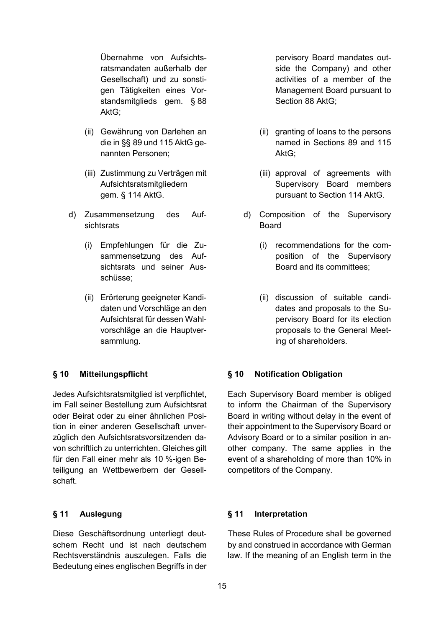Übernahme von Aufsichtsratsmandaten außerhalb der Gesellschaft) und zu sonstigen Tätigkeiten eines Vorstandsmitglieds gem. § 88 AktG;

- (ii) Gewährung von Darlehen an die in §§ 89 und 115 AktG genannten Personen;
- (iii) Zustimmung zu Verträgen mit Aufsichtsratsmitgliedern gem. § 114 AktG.
- d) Zusammensetzung des Aufsichtsrats
	- (i) Empfehlungen für die Zusammensetzung des Aufsichtsrats und seiner Ausschüsse;
	- (ii) Erörterung geeigneter Kandidaten und Vorschläge an den Aufsichtsrat für dessen Wahlvorschläge an die Hauptversammlung.

Jedes Aufsichtsratsmitglied ist verpflichtet, im Fall seiner Bestellung zum Aufsichtsrat oder Beirat oder zu einer ähnlichen Position in einer anderen Gesellschaft unverzüglich den Aufsichtsratsvorsitzenden davon schriftlich zu unterrichten. Gleiches gilt für den Fall einer mehr als 10 %-igen Beteiligung an Wettbewerbern der Gesellschaft.

Diese Geschäftsordnung unterliegt deutschem Recht und ist nach deutschem Rechtsverständnis auszulegen. Falls die Bedeutung eines englischen Begriffs in der pervisory Board mandates outside the Company) and other activities of a member of the Management Board pursuant to Section 88 AktG;

- (ii) granting of loans to the persons named in Sections 89 and 115 AktG;
- (iii) approval of agreements with Supervisory Board members pursuant to Section 114 AktG.
- d) Composition of the Supervisory Board
	- (i) recommendations for the composition of the Supervisory Board and its committees;
	- (ii) discussion of suitable candidates and proposals to the Supervisory Board for its election proposals to the General Meeting of shareholders.

### **§ 10 Mitteilungspflicht § 10 Notification Obligation**

Each Supervisory Board member is obliged to inform the Chairman of the Supervisory Board in writing without delay in the event of their appointment to the Supervisory Board or Advisory Board or to a similar position in another company. The same applies in the event of a shareholding of more than 10% in competitors of the Company.

### **§ 11 Auslegung § 11 Interpretation**

These Rules of Procedure shall be governed by and construed in accordance with German law. If the meaning of an English term in the